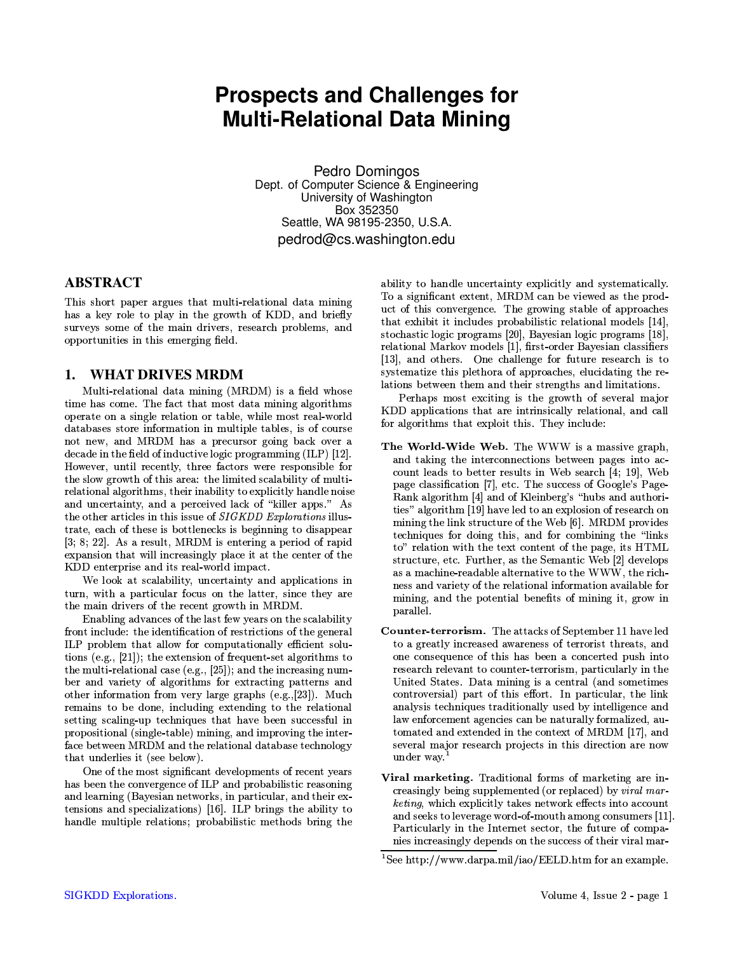# **Prospects and Challenges for Multi-Relational Data Mining**

Pedro Domingos Dept. of Computer Science & Engineering University of Washington Box 352350 Seattle, WA 98195-2350, U.S.A. pedrod@cs.washington.edu

### **ABSTRACT**

This short paper argues that multi-relational data mining has a key role to play in the growth of KDD, and briefly surveys some of the main drivers, research problems, and opportunities in this emerging field.

## 1. WHAT DRIVES MRDM

Multi-relational data mining (MRDM) is a field whose time has come. The fact that most data mining algorithms operate on a single relation or table, while most real-world databases store information in multiple tables, is of course not new, and MRDM has a precursor going back over a decade in the field of inductive logic programming (ILP) [12]. However, until recently, three factors were responsible for the slow growth of this area: the limited scalability of multirelational algorithms, their inability to explicitly handle noise and uncertainty, and a perceived lack of "killer apps." As the other articles in this issue of SIGKDD Explorations illustrate, each of these is bottlenecks is beginning to disappear  $[3; 8; 22]$ . As a result, MRDM is entering a period of rapid expansion that will increasingly place it at the center of the KDD enterprise and its real-world impact.

We look at scalability, uncertainty and applications in turn, with a particular focus on the latter, since they are the main drivers of the recent growth in MRDM.

Enabling advances of the last few years on the scalability front include: the identification of restrictions of the general ILP problem that allow for computationally efficient solutions (e.g., [21]); the extension of frequent-set algorithms to the multi-relational case (e.g.,  $[25]$ ); and the increasing number and variety of algorithms for extracting patterns and other information from very large graphs (e.g.,[23]). Much remains to be done, including extending to the relational setting scaling-up techniques that have been successful in propositional (single-table) mining, and improving the interface between MRDM and the relational database technology that underlies it (see below).

One of the most significant developments of recent years has been the convergence of ILP and probabilistic reasoning and learning (Bayesian networks, in particular, and their extensions and specializations) [16]. ILP brings the ability to handle multiple relations; probabilistic methods bring the

ability to handle uncertainty explicitly and systematically. To a significant extent, MRDM can be viewed as the product of this convergence. The growing stable of approaches that exhibit it includes probabilistic relational models [14], stochastic logic programs [20], Bayesian logic programs [18], relational Markov models [1], first-order Bayesian classifiers [13], and others. One challenge for future research is to systematize this plethora of approaches, elucidating the relations between them and their strengths and limitations.

Perhaps most exciting is the growth of several major KDD applications that are intrinsically relational, and call for algorithms that exploit this. They include:

- The World-Wide Web. The WWW is a massive graph, and taking the interconnections between pages into account leads to better results in Web search [4; 19]. Web page classification [7], etc. The success of Google's Page-Rank algorithm [4] and of Kleinberg's "hubs and authorities" algorithm [19] have led to an explosion of research on mining the link structure of the Web [6]. MRDM provides techniques for doing this, and for combining the "links to" relation with the text content of the page, its HTML structure, etc. Further, as the Semantic Web [2] develops as a machine-readable alternative to the WWW, the richness and variety of the relational information available for mining, and the potential benefits of mining it, grow in parallel.
- Counter-terrorism. The attacks of September 11 have led to a greatly increased awareness of terrorist threats, and one consequence of this has been a concerted push into research relevant to counter-terrorism, particularly in the United States. Data mining is a central (and sometimes controversial) part of this effort. In particular, the link analysis techniques traditionally used by intelligence and law enforcement agencies can be naturally formalized, automated and extended in the context of MRDM [17], and several major research projects in this direction are now under way.
- Viral marketing. Traditional forms of marketing are increasingly being supplemented (or replaced) by *viral mar*keting, which explicitly takes network effects into account and seeks to leverage word-of-mouth among consumers [11]. Particularly in the Internet sector, the future of companies increasingly depends on the success of their viral mar-

<sup>&</sup>lt;sup>1</sup>See http://www.darpa.mil/iao/EELD.htm for an example.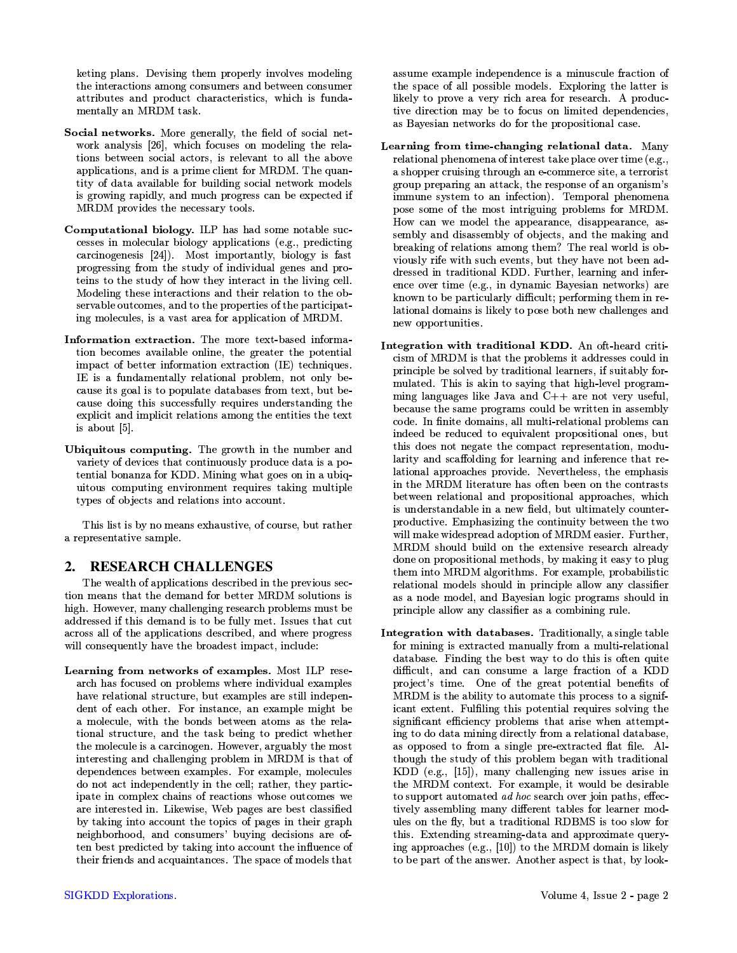keting plans. Devising them properly involves modeling the interactions among consumers and between consumer attributes and product characteristics, which is fundamentally an MRDM task.

- Social networks. More generally, the field of social network analysis [26], which focuses on modeling the relations between social actors, is relevant to all the above applications, and is a prime client for MRDM. The quantity of data available for building social network models is growing rapidly, and much progress can be expected if MRDM provides the necessary tools.
- Computational biology. ILP has had some notable successes in molecular biology applications (e.g., predicting carcinogenesis [24]). Most importantly, biology is fast progressing from the study of individual genes and proteins to the study of how they interact in the living cell. Modeling these interactions and their relation to the observable outcomes, and to the properties of the participating molecules, is a vast area for application of MRDM.
- Information extraction. The more text-based information becomes available online, the greater the potential impact of better information extraction (IE) techniques. IE is a fundamentally relational problem, not only because its goal is to populate databases from text, but because doing this successfully requires understanding the explicit and implicit relations among the entities the text is about  $[5]$ .
- Ubiquitous computing. The growth in the number and variety of devices that continuously produce data is a potential bonanza for KDD. Mining what goes on in a ubiquitous computing environment requires taking multiple types of objects and relations into account.

This list is by no means exhaustive, of course, but rather a representative sample.

#### $2_{-}$ **RESEARCH CHALLENGES**

The wealth of applications described in the previous section means that the demand for better MRDM solutions is high. However, many challenging research problems must be addressed if this demand is to be fully met. Issues that cut across all of the applications described, and where progress will consequently have the broadest impact, include:

Learning from networks of examples. Most ILP research has focused on problems where individual examples have relational structure, but examples are still independent of each other. For instance, an example might be a molecule, with the bonds between atoms as the relational structure, and the task being to predict whether the molecule is a carcinogen. However, arguably the most interesting and challenging problem in MRDM is that of dependences between examples. For example, molecules do not act independently in the cell; rather, they participate in complex chains of reactions whose outcomes we are interested in. Likewise, Web pages are best classified by taking into account the topics of pages in their graph neighborhood, and consumers' buying decisions are often best predicted by taking into account the influence of their friends and acquaintances. The space of models that

assume example independence is a minuscule fraction of the space of all possible models. Exploring the latter is likely to prove a very rich area for research. A productive direction may be to focus on limited dependencies, as Bayesian networks do for the propositional case.

- Learning from time-changing relational data. Many relational phenomena of interest take place over time (e.g., a shopper cruising through an e-commerce site, a terrorist group preparing an attack, the response of an organism's immune system to an infection). Temporal phenomena pose some of the most intriguing problems for MRDM. How can we model the appearance, disappearance, assembly and disassembly of objects, and the making and breaking of relations among them? The real world is obviously rife with such events, but they have not been addressed in traditional KDD. Further, learning and inference over time (e.g., in dynamic Bayesian networks) are known to be particularly difficult; performing them in relational domains is likely to pose both new challenges and new opportunities.
- Integration with traditional KDD. An oft-heard criticism of MRDM is that the problems it addresses could in principle be solved by traditional learners, if suitably formulated. This is akin to saying that high-level programming languages like Java and  $C++$  are not very useful, because the same programs could be written in assembly code. In finite domains, all multi-relational problems can indeed be reduced to equivalent propositional ones, but this does not negate the compact representation, modularity and scaffolding for learning and inference that relational approaches provide. Nevertheless, the emphasis in the MRDM literature has often been on the contrasts between relational and propositional approaches, which is understandable in a new field, but ultimately counterproductive. Emphasizing the continuity between the two will make widespread adoption of MRDM easier. Further, MRDM should build on the extensive research already done on propositional methods, by making it easy to plug them into MRDM algorithms. For example, probabilistic relational models should in principle allow any classifier as a node model, and Bayesian logic programs should in principle allow any classifier as a combining rule.
- Integration with databases. Traditionally, a single table for mining is extracted manually from a multi-relational database. Finding the best way to do this is often quite difficult, and can consume a large fraction of a KDD project's time. One of the great potential benefits of MRDM is the ability to automate this process to a significant extent. Fulfiling this potential requires solving the significant efficiency problems that arise when attempting to do data mining directly from a relational database, as opposed to from a single pre-extracted flat file. Although the study of this problem began with traditional  $KDD$  (e.g., [15]), many challenging new issues arise in the MRDM context. For example, it would be desirable to support automated ad hoc search over join paths, effectively assembling many different tables for learner modules on the fly, but a traditional RDBMS is too slow for this. Extending streaming-data and approximate querying approaches (e.g., [10]) to the MRDM domain is likely to be part of the answer. Another aspect is that, by look-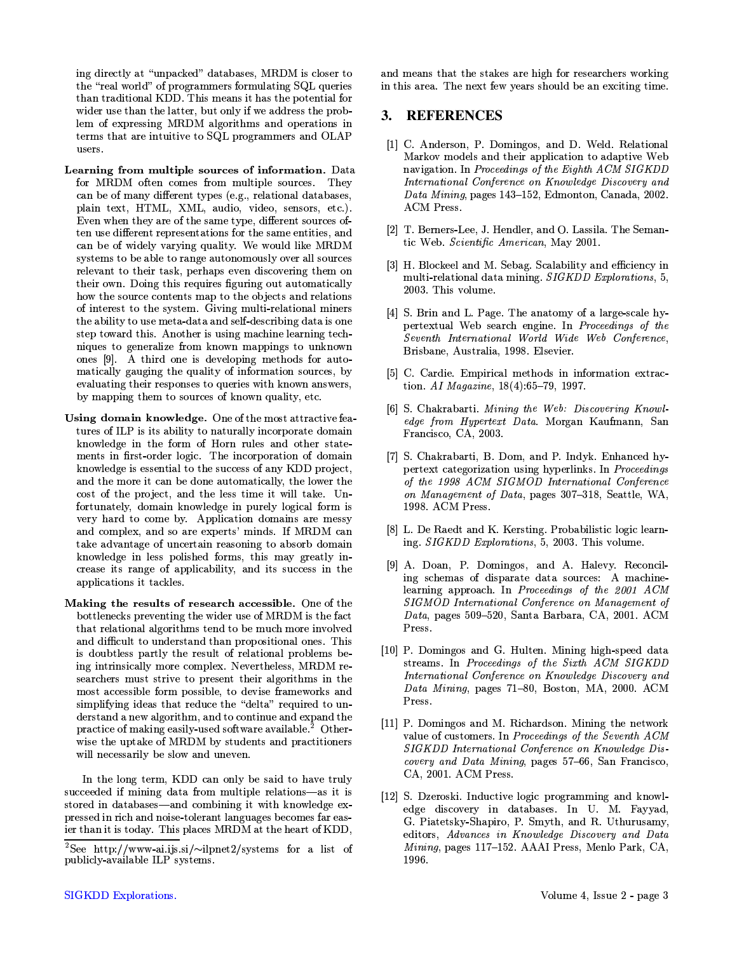ing directly at "unpacked" databases, MRDM is closer to the "real world" of programmers formulating SQL queries than traditional KDD. This means it has the potential for wider use than the latter, but only if we address the problem of expressing MRDM algorithms and operations in terms that are intuitive to SQL programmers and OLAP users.

- Learning from multiple sources of information. Data for MRDM often comes from multiple sources. They can be of many different types (e.g., relational databases, plain text, HTML, XML, audio, video, sensors, etc.). Even when they are of the same type, different sources of ten use different representations for the same entities, and can be of widely varying quality. We would like MRDM systems to be able to range autonomously over all sources relevant to their task, perhaps even discovering them on their own. Doing this requires figuring out automatically how the source contents map to the objects and relations of interest to the system. Giving multi-relational miners the ability to use meta-data and self-describing data is one step toward this. Another is using machine learning techniques to generalize from known mappings to unknown ones [9]. A third one is developing methods for automatically gauging the quality of information sources, by evaluating their responses to queries with known answers, by mapping them to sources of known quality, etc.
- Using domain knowledge. One of the most attractive features of ILP is its ability to naturally incorporate domain knowledge in the form of Horn rules and other statements in first-order logic. The incorporation of domain knowledge is essential to the success of any KDD project, and the more it can be done automatically, the lower the cost of the project, and the less time it will take. Unfortunately, domain knowledge in purely logical form is very hard to come by. Application domains are messy and complex, and so are experts' minds. If MRDM can take advantage of uncertain reasoning to absorb domain knowledge in less polished forms, this may greatly increase its range of applicability, and its success in the applications it tackles.
- Making the results of research accessible. One of the bottlenecks preventing the wider use of MRDM is the fact that relational algorithms tend to be much more involved and difficult to understand than propositional ones. This is doubtless partly the result of relational problems being intrinsically more complex. Nevertheless, MRDM researchers must strive to present their algorithms in the most accessible form possible, to devise frameworks and simplifying ideas that reduce the "delta" required to understand a new algorithm, and to continue and expand the practice of making easily-used software available.<sup>2</sup> Otherwise the uptake of MRDM by students and practitioners will necessarily be slow and uneven.

In the long term, KDD can only be said to have truly succeeded if mining data from multiple relations-as it is stored in databases—and combining it with knowledge expressed in rich and noise-tolerant languages becomes far easier than it is today. This places MRDM at the heart of KDD,

and means that the stakes are high for researchers working in this area. The next few years should be an exciting time.

### **REFERENCES 3.**

- [1] C. Anderson, P. Domingos, and D. Weld. Relational Markov models and their application to adaptive Web navigation. In Proceedings of the Eighth ACM SIGKDD International Conference on Knowledge Discovery and Data Mining, pages 143-152, Edmonton, Canada, 2002. ACM Press.
- [2] T. Berners-Lee, J. Hendler, and O. Lassila. The Semantic Web. Scientific American, May 2001.
- [3] H. Blockeel and M. Sebag. Scalability and efficiency in multi-relational data mining. SIGKDD Explorations, 5, 2003. This volume.
- [4] S. Brin and L. Page. The anatomy of a large-scale hypertextual Web search engine. In Proceedings of the Seventh International World Wide Web Conference, Brisbane, Australia, 1998. Elsevier.
- [5] C. Cardie. Empirical methods in information extraction. AI Magazine,  $18(4):65-79$ , 1997.
- [6] S. Chakrabarti. Mining the Web: Discovering Knowledge from Hypertext Data. Morgan Kaufmann, San Francisco, CA, 2003.
- [7] S. Chakrabarti, B. Dom, and P. Indyk. Enhanced hypertext categorization using hyperlinks. In Proceedings of the 1998 ACM SIGMOD International Conference on Management of Data, pages 307-318, Seattle, WA, 1998. ACM Press.
- [8] L. De Raedt and K. Kersting. Probabilistic logic learning. SIGKDD Explorations, 5, 2003. This volume.
- [9] A. Doan, P. Domingos, and A. Halevy. Reconciling schemas of disparate data sources: A machinelearning approach. In Proceedings of the 2001 ACM SIGMOD International Conference on Management of Data, pages 509-520, Santa Barbara, CA, 2001. ACM Press.
- [10] P. Domingos and G. Hulten. Mining high-speed data streams. In Proceedings of the Sixth ACM SIGKDD International Conference on Knowledge Discovery and Data Mining, pages 71-80, Boston, MA, 2000. ACM Press.
- [11] P. Domingos and M. Richardson. Mining the network value of customers. In Proceedings of the Seventh ACM SIGKDD International Conference on Knowledge Discovery and Data Mining, pages 57-66, San Francisco, CA, 2001. ACM Press.
- [12] S. Dzeroski. Inductive logic programming and knowledge discovery in databases. In U. M. Fayyad, G. Piatetsky-Shapiro, P. Smyth, and R. Uthurusamy, editors, Advances in Knowledge Discovery and Data Mining, pages 117-152. AAAI Press, Menlo Park, CA, 1996

<sup>&</sup>lt;sup>2</sup>See http://www-ai.ijs.si/~ilpnet2/systems for a list of publicly-available ILP systems.